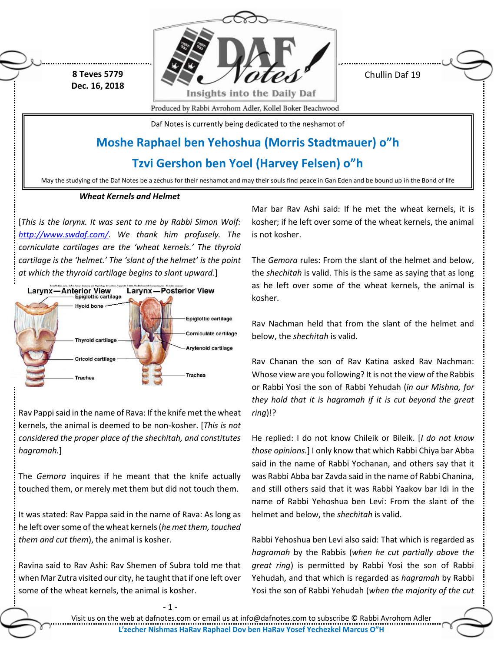**8 Teves 5779 Dec. 16, 2018**



Chullin Daf 19

Produced by Rabbi Avrohom Adler, Kollel Boker Beachwood

Daf Notes is currently being dedicated to the neshamot of

# **Moshe Raphael ben Yehoshua (Morris Stadtmauer) o"h**

**Tzvi Gershon ben Yoel (Harvey Felsen) o"h**

May the studying of the Daf Notes be a zechus for their neshamot and may their souls find peace in Gan Eden and be bound up in the Bond of life

## *Wheat Kernels and Helmet*

[*This is the larynx. It was sent to me by Rabbi Simon Wolf: [http://www.swdaf.com/.](http://www.swdaf.com/) We thank him profusely. The corniculate cartilages are the 'wheat kernels.' The thyroid cartilage is the 'helmet.' The 'slant of the helmet' is the point at which the thyroid cartilage begins to slant upward.*]



Rav Pappi said in the name of Rava: If the knife met the wheat kernels, the animal is deemed to be non-kosher. [*This is not considered the proper place of the shechitah, and constitutes hagramah.*]

The *Gemora* inquires if he meant that the knife actually touched them, or merely met them but did not touch them.

It was stated: Rav Pappa said in the name of Rava: As long as he left over some of the wheat kernels (*he met them, touched them and cut them*), the animal is kosher.

Ravina said to Rav Ashi: Rav Shemen of Subra told me that when Mar Zutra visited our city, he taught that if one left over some of the wheat kernels, the animal is kosher.

Mar bar Rav Ashi said: If he met the wheat kernels, it is kosher; if he left over some of the wheat kernels, the animal is not kosher.

The *Gemora* rules: From the slant of the helmet and below, the *shechitah* is valid. This is the same as saying that as long as he left over some of the wheat kernels, the animal is kosher.

Rav Nachman held that from the slant of the helmet and below, the *shechitah* is valid.

Rav Chanan the son of Rav Katina asked Rav Nachman: Whose view are you following? It is not the view of the Rabbis or Rabbi Yosi the son of Rabbi Yehudah (*in our Mishna, for they hold that it is hagramah if it is cut beyond the great ring*)!?

He replied: I do not know Chileik or Bileik. [*I do not know those opinions.*] I only know that which Rabbi Chiya bar Abba said in the name of Rabbi Yochanan, and others say that it was Rabbi Abba bar Zavda said in the name of Rabbi Chanina, and still others said that it was Rabbi Yaakov bar Idi in the name of Rabbi Yehoshua ben Levi: From the slant of the helmet and below, the *shechitah* is valid.

Rabbi Yehoshua ben Levi also said: That which is regarded as *hagramah* by the Rabbis (*when he cut partially above the great ring*) is permitted by Rabbi Yosi the son of Rabbi Yehudah, and that which is regarded as *hagramah* by Rabbi Yosi the son of Rabbi Yehudah (*when the majority of the cut* 

Visit us on the web at dafnotes.com or email us at [info@dafnotes.com](mailto:info@dafnotes.com) to subscribe © Rabbi Avrohom Adler **L'zecher Nishmas HaRav Raphael Dov ben HaRav Yosef Yechezkel Marcus O"H**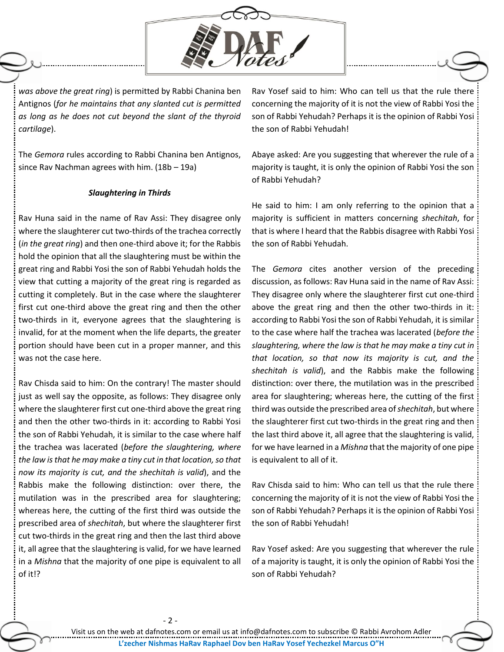

*was above the great ring*) is permitted by Rabbi Chanina ben Antignos (*for he maintains that any slanted cut is permitted as long as he does not cut beyond the slant of the thyroid cartilage*).

The *Gemora* rules according to Rabbi Chanina ben Antignos, since Rav Nachman agrees with him. (18b – 19a)

### *Slaughtering in Thirds*

Rav Huna said in the name of Rav Assi: They disagree only where the slaughterer cut two-thirds of the trachea correctly (*in the great ring*) and then one-third above it; for the Rabbis hold the opinion that all the slaughtering must be within the great ring and Rabbi Yosi the son of Rabbi Yehudah holds the view that cutting a majority of the great ring is regarded as cutting it completely. But in the case where the slaughterer first cut one-third above the great ring and then the other two-thirds in it, everyone agrees that the slaughtering is invalid, for at the moment when the life departs, the greater portion should have been cut in a proper manner, and this was not the case here.

Rav Chisda said to him: On the contrary! The master should just as well say the opposite, as follows: They disagree only where the slaughterer first cut one-third above the great ring and then the other two-thirds in it: according to Rabbi Yosi the son of Rabbi Yehudah, it is similar to the case where half the trachea was lacerated (*before the slaughtering, where the law is that he may make a tiny cut in that location, so that now its majority is cut, and the shechitah is valid*), and the Rabbis make the following distinction: over there, the mutilation was in the prescribed area for slaughtering; whereas here, the cutting of the first third was outside the prescribed area of *shechitah*, but where the slaughterer first cut two-thirds in the great ring and then the last third above it, all agree that the slaughtering is valid, for we have learned in a *Mishna* that the majority of one pipe is equivalent to all of it!?

- 2 -

Rav Yosef said to him: Who can tell us that the rule there concerning the majority of it is not the view of Rabbi Yosi the son of Rabbi Yehudah? Perhaps it is the opinion of Rabbi Yosi the son of Rabbi Yehudah!

Abaye asked: Are you suggesting that wherever the rule of a majority is taught, it is only the opinion of Rabbi Yosi the son of Rabbi Yehudah?

He said to him: I am only referring to the opinion that a majority is sufficient in matters concerning *shechitah*, for that is where I heard that the Rabbis disagree with Rabbi Yosi the son of Rabbi Yehudah.

The *Gemora* cites another version of the preceding discussion, as follows: Rav Huna said in the name of Rav Assi: They disagree only where the slaughterer first cut one-third above the great ring and then the other two-thirds in it: according to Rabbi Yosi the son of Rabbi Yehudah, it is similar to the case where half the trachea was lacerated (*before the slaughtering, where the law is that he may make a tiny cut in that location, so that now its majority is cut, and the shechitah is valid*), and the Rabbis make the following distinction: over there, the mutilation was in the prescribed area for slaughtering; whereas here, the cutting of the first third was outside the prescribed area of *shechitah*, but where the slaughterer first cut two-thirds in the great ring and then the last third above it, all agree that the slaughtering is valid, for we have learned in a *Mishna* that the majority of one pipe is equivalent to all of it.

Rav Chisda said to him: Who can tell us that the rule there concerning the majority of it is not the view of Rabbi Yosi the son of Rabbi Yehudah? Perhaps it is the opinion of Rabbi Yosi the son of Rabbi Yehudah!

Rav Yosef asked: Are you suggesting that wherever the rule of a majority is taught, it is only the opinion of Rabbi Yosi the son of Rabbi Yehudah?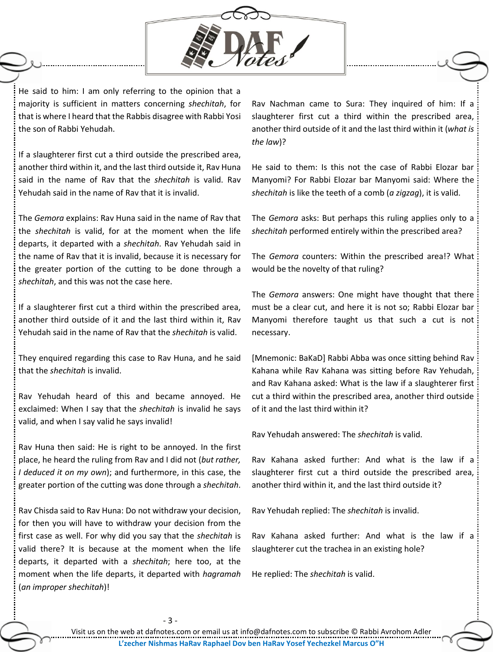

He said to him: I am only referring to the opinion that a majority is sufficient in matters concerning *shechitah*, for that is where I heard that the Rabbis disagree with Rabbi Yosi the son of Rabbi Yehudah.

If a slaughterer first cut a third outside the prescribed area, another third within it, and the last third outside it, Rav Huna said in the name of Rav that the *shechitah* is valid. Rav Yehudah said in the name of Rav that it is invalid.

The *Gemora* explains: Rav Huna said in the name of Rav that the *shechitah* is valid, for at the moment when the life departs, it departed with a *shechitah*. Rav Yehudah said in the name of Rav that it is invalid, because it is necessary for the greater portion of the cutting to be done through a *shechitah*, and this was not the case here.

If a slaughterer first cut a third within the prescribed area, another third outside of it and the last third within it, Rav Yehudah said in the name of Rav that the *shechitah* is valid.

They enquired regarding this case to Rav Huna, and he said that the *shechitah* is invalid.

Rav Yehudah heard of this and became annoyed. He exclaimed: When I say that the *shechitah* is invalid he says valid, and when I say valid he says invalid!

Rav Huna then said: He is right to be annoyed. In the first place, he heard the ruling from Rav and I did not (*but rather, I deduced it on my own*); and furthermore, in this case, the greater portion of the cutting was done through a *shechitah*.

Rav Chisda said to Rav Huna: Do not withdraw your decision, for then you will have to withdraw your decision from the first case as well. For why did you say that the *shechitah* is valid there? It is because at the moment when the life departs, it departed with a *shechitah*; here too, at the moment when the life departs, it departed with *hagramah* (*an improper shechitah*)!

Rav Nachman came to Sura: They inquired of him: If a slaughterer first cut a third within the prescribed area, another third outside of it and the last third within it (*what is the law*)?

He said to them: Is this not the case of Rabbi Elozar bar Manyomi? For Rabbi Elozar bar Manyomi said: Where the *shechitah* is like the teeth of a comb (*a zigzag*), it is valid.

The *Gemora* asks: But perhaps this ruling applies only to a *shechitah* performed entirely within the prescribed area?

The *Gemora* counters: Within the prescribed area!? What would be the novelty of that ruling?

The *Gemora* answers: One might have thought that there must be a clear cut, and here it is not so; Rabbi Elozar bar Manyomi therefore taught us that such a cut is not necessary.

[Mnemonic: BaKaD] Rabbi Abba was once sitting behind Rav Kahana while Rav Kahana was sitting before Rav Yehudah, and Rav Kahana asked: What is the law if a slaughterer first cut a third within the prescribed area, another third outside of it and the last third within it?

Rav Yehudah answered: The *shechitah* is valid.

Rav Kahana asked further: And what is the law if a slaughterer first cut a third outside the prescribed area, another third within it, and the last third outside it?

Rav Yehudah replied: The *shechitah* is invalid.

Rav Kahana asked further: And what is the law if a slaughterer cut the trachea in an existing hole?

He replied: The *shechitah* is valid.

- 3 -

Visit us on the web at dafnotes.com or email us at [info@dafnotes.com](mailto:info@dafnotes.com) to subscribe © Rabbi Avrohom Adler **L'zecher Nishmas HaRav Raphael Dov ben HaRav Yosef Yechezkel Marcus O"H**